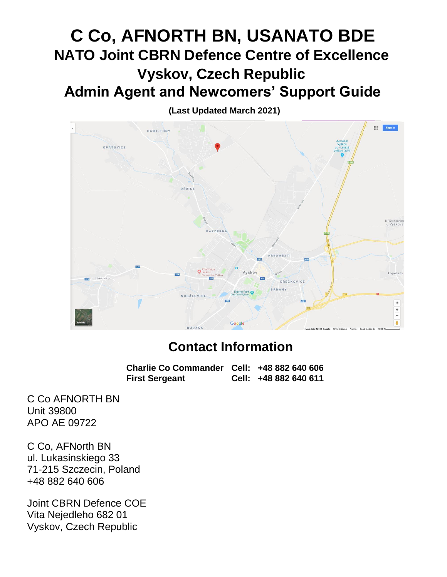# **C Co, AFNORTH BN, USANATO BDE NATO Joint CBRN Defence Centre of Excellence Vyskov, Czech Republic Admin Agent and Newcomers' Support Guide**

**(Last Updated March 2021)**



# **Contact Information**

**Charlie Co Commander Cell: +48 882 640 606 First Sergeant Cell: +48 882 640 611**

C Co AFNORTH BN Unit 39800 APO AE 09722

C Co, AFNorth BN ul. Lukasinskiego 33 71-215 Szczecin, Poland +48 882 640 606

Joint CBRN Defence COE Vita Nejedleho 682 01 Vyskov, Czech Republic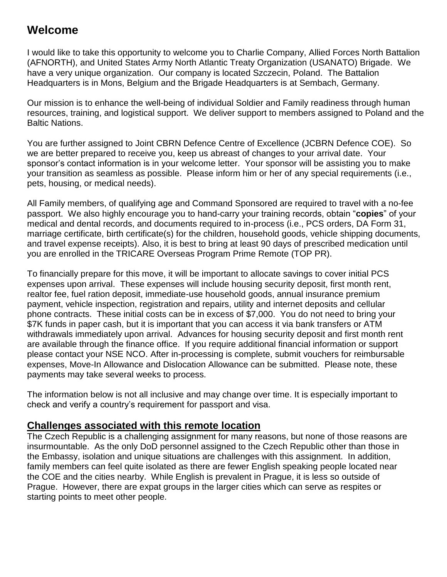## **Welcome**

I would like to take this opportunity to welcome you to Charlie Company, Allied Forces North Battalion (AFNORTH), and United States Army North Atlantic Treaty Organization (USANATO) Brigade. We have a very unique organization. Our company is located Szczecin, Poland. The Battalion Headquarters is in Mons, Belgium and the Brigade Headquarters is at Sembach, Germany.

Our mission is to enhance the well-being of individual Soldier and Family readiness through human resources, training, and logistical support. We deliver support to members assigned to Poland and the Baltic Nations.

You are further assigned to Joint CBRN Defence Centre of Excellence (JCBRN Defence COE). So we are better prepared to receive you, keep us abreast of changes to your arrival date. Your sponsor's contact information is in your welcome letter. Your sponsor will be assisting you to make your transition as seamless as possible. Please inform him or her of any special requirements (i.e., pets, housing, or medical needs).

All Family members, of qualifying age and Command Sponsored are required to travel with a no-fee passport. We also highly encourage you to hand-carry your training records, obtain "**copies**" of your medical and dental records, and documents required to in-process (i.e., PCS orders, DA Form 31, marriage certificate, birth certificate(s) for the children, household goods, vehicle shipping documents, and travel expense receipts). Also, it is best to bring at least 90 days of prescribed medication until you are enrolled in the TRICARE Overseas Program Prime Remote (TOP PR).

To financially prepare for this move, it will be important to allocate savings to cover initial PCS expenses upon arrival. These expenses will include housing security deposit, first month rent, realtor fee, fuel ration deposit, immediate-use household goods, annual insurance premium payment, vehicle inspection, registration and repairs, utility and internet deposits and cellular phone contracts. These initial costs can be in excess of \$7,000. You do not need to bring your \$7K funds in paper cash, but it is important that you can access it via bank transfers or ATM withdrawals immediately upon arrival. Advances for housing security deposit and first month rent are available through the finance office. If you require additional financial information or support please contact your NSE NCO. After in-processing is complete, submit vouchers for reimbursable expenses, Move-In Allowance and Dislocation Allowance can be submitted. Please note, these payments may take several weeks to process.

The information below is not all inclusive and may change over time. It is especially important to check and verify a country's requirement for passport and visa.

## **Challenges associated with this remote location**

The Czech Republic is a challenging assignment for many reasons, but none of those reasons are insurmountable. As the only DoD personnel assigned to the Czech Republic other than those in the Embassy, isolation and unique situations are challenges with this assignment. In addition, family members can feel quite isolated as there are fewer English speaking people located near the COE and the cities nearby. While English is prevalent in Prague, it is less so outside of Prague. However, there are expat groups in the larger cities which can serve as respites or starting points to meet other people.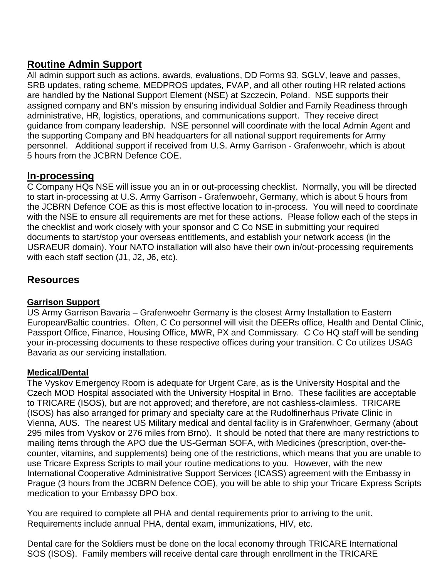## **Routine Admin Support**

All admin support such as actions, awards, evaluations, DD Forms 93, SGLV, leave and passes, SRB updates, rating scheme, MEDPROS updates, FVAP, and all other routing HR related actions are handled by the National Support Element (NSE) at Szczecin, Poland. NSE supports their assigned company and BN's mission by ensuring individual Soldier and Family Readiness through administrative, HR, logistics, operations, and communications support. They receive direct guidance from company leadership. NSE personnel will coordinate with the local Admin Agent and the supporting Company and BN headquarters for all national support requirements for Army personnel. Additional support if received from U.S. Army Garrison - Grafenwoehr, which is about 5 hours from the JCBRN Defence COE.

## **In-processing**

C Company HQs NSE will issue you an in or out-processing checklist. Normally, you will be directed to start in-processing at U.S. Army Garrison - Grafenwoehr, Germany, which is about 5 hours from the JCBRN Defence COE as this is most effective location to in-process. You will need to coordinate with the NSE to ensure all requirements are met for these actions. Please follow each of the steps in the checklist and work closely with your sponsor and C Co NSE in submitting your required documents to start/stop your overseas entitlements, and establish your network access (in the USRAEUR domain). Your NATO installation will also have their own in/out-processing requirements with each staff section (J1, J2, J6, etc).

## **Resources**

#### **Garrison Support**

US Army Garrison Bavaria – Grafenwoehr Germany is the closest Army Installation to Eastern European/Baltic countries. Often, C Co personnel will visit the DEERs office, Health and Dental Clinic, Passport Office, Finance, Housing Office, MWR, PX and Commissary. C Co HQ staff will be sending your in-processing documents to these respective offices during your transition. C Co utilizes USAG Bavaria as our servicing installation.

#### **Medical/Dental**

The Vyskov Emergency Room is adequate for Urgent Care, as is the University Hospital and the Czech MOD Hospital associated with the University Hospital in Brno. These facilities are acceptable to TRICARE (ISOS), but are not approved; and therefore, are not cashless-claimless. TRICARE (ISOS) has also arranged for primary and specialty care at the Rudolfinerhaus Private Clinic in Vienna, AUS. The nearest US Military medical and dental facility is in Grafenwhoer, Germany (about 295 miles from Vyskov or 276 miles from Brno). It should be noted that there are many restrictions to mailing items through the APO due the US-German SOFA, with Medicines (prescription, over-thecounter, vitamins, and supplements) being one of the restrictions, which means that you are unable to use Tricare Express Scripts to mail your routine medications to you. However, with the new International Cooperative Administrative Support Services (ICASS) agreement with the Embassy in Prague (3 hours from the JCBRN Defence COE), you will be able to ship your Tricare Express Scripts medication to your Embassy DPO box.

You are required to complete all PHA and dental requirements prior to arriving to the unit. Requirements include annual PHA, dental exam, immunizations, HIV, etc.

Dental care for the Soldiers must be done on the local economy through TRICARE International SOS (ISOS). Family members will receive dental care through enrollment in the TRICARE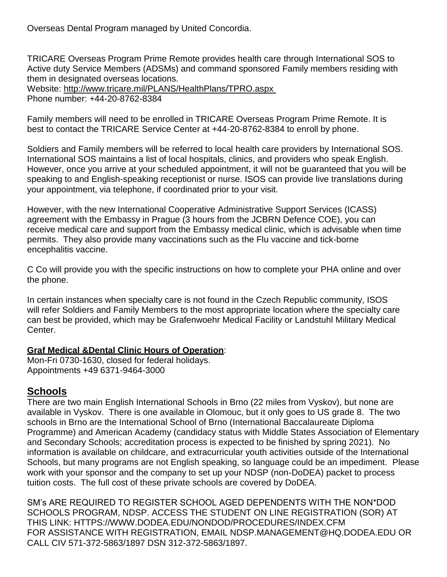Overseas Dental Program managed by United Concordia.

TRICARE Overseas Program Prime Remote provides health care through International SOS to Active duty Service Members (ADSMs) and command sponsored Family members residing with them in designated overseas locations.

Website:<http://www.tricare.mil/PLANS/HealthPlans/TPRO.aspx>

Phone number: +44-20-8762-8384

Family members will need to be enrolled in TRICARE Overseas Program Prime Remote. It is best to contact the TRICARE Service Center at +44-20-8762-8384 to enroll by phone.

Soldiers and Family members will be referred to local health care providers by International SOS. International SOS maintains a list of local hospitals, clinics, and providers who speak English. However, once you arrive at your scheduled appointment, it will not be guaranteed that you will be speaking to and English-speaking receptionist or nurse. ISOS can provide live translations during your appointment, via telephone, if coordinated prior to your visit.

However, with the new International Cooperative Administrative Support Services (ICASS) agreement with the Embassy in Prague (3 hours from the JCBRN Defence COE), you can receive medical care and support from the Embassy medical clinic, which is advisable when time permits. They also provide many vaccinations such as the Flu vaccine and tick-borne encephalitis vaccine.

C Co will provide you with the specific instructions on how to complete your PHA online and over the phone.

In certain instances when specialty care is not found in the Czech Republic community, ISOS will refer Soldiers and Family Members to the most appropriate location where the specialty care can best be provided, which may be Grafenwoehr Medical Facility or Landstuhl Military Medical Center.

#### **Graf Medical &Dental Clinic Hours of Operation**:

Mon-Fri 0730-1630, closed for federal holidays. Appointments +49 6371-9464-3000

## **Schools**

There are two main English International Schools in Brno (22 miles from Vyskov), but none are available in Vyskov. There is one available in Olomouc, but it only goes to US grade 8. The two schools in Brno are the International School of Brno (International Baccalaureate Diploma Programme) and American Academy (candidacy status with Middle States Association of Elementary and Secondary Schools; accreditation process is expected to be finished by spring 2021). No information is available on childcare, and extracurricular youth activities outside of the International Schools, but many programs are not English speaking, so language could be an impediment. Please work with your sponsor and the company to set up your NDSP (non-DoDEA) packet to process tuition costs. The full cost of these private schools are covered by DoDEA.

SM's ARE REQUIRED TO REGISTER SCHOOL AGED DEPENDENTS WITH THE NON\*DOD SCHOOLS PROGRAM, NDSP. ACCESS THE STUDENT ON LINE REGISTRATION (SOR) AT THIS LINK: HTTPS://WWW.DODEA.EDU/NONDOD/PROCEDURES/INDEX.CFM FOR ASSISTANCE WITH REGISTRATION, EMAIL NDSP.MANAGEMENT@HQ.DODEA.EDU OR CALL CIV 571-372-5863/1897 DSN 312-372-5863/1897.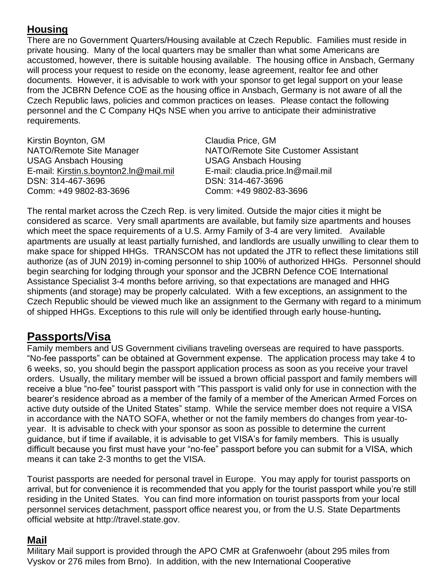## **Housing**

There are no Government Quarters/Housing available at Czech Republic. Families must reside in private housing. Many of the local quarters may be smaller than what some Americans are accustomed, however, there is suitable housing available. The housing office in Ansbach, Germany will process your request to reside on the economy, lease agreement, realtor fee and other documents. However, it is advisable to work with your sponsor to get legal support on your lease from the JCBRN Defence COE as the housing office in Ansbach, Germany is not aware of all the Czech Republic laws, policies and common practices on leases. Please contact the following personnel and the C Company HQs NSE when you arrive to anticipate their administrative requirements.

Kirstin Boynton, GM Claudia Price, GM USAG Ansbach Housing USAG Ansbach Housing E-mail: [Kirstin.s.boynton2.ln@mail.mil](mailto:Kirstin.s.boynton2.ln@mail.mil) E-mail: claudia.price.ln@mail.mil DSN: 314-467-3696 DSN: 314-467-3696 Comm: +49 9802-83-3696 Comm: +49 9802-83-3696

NATO/Remote Site Manager NATO/Remote Site Customer Assistant

The rental market across the Czech Rep. is very limited. Outside the major cities it might be considered as scarce. Very small apartments are available, but family size apartments and houses which meet the space requirements of a U.S. Army Family of 3-4 are very limited. Available apartments are usually at least partially furnished, and landlords are usually unwilling to clear them to make space for shipped HHGs. TRANSCOM has not updated the JTR to reflect these limitations still authorize (as of JUN 2019) in-coming personnel to ship 100% of authorized HHGs. Personnel should begin searching for lodging through your sponsor and the JCBRN Defence COE International Assistance Specialist 3-4 months before arriving, so that expectations are managed and HHG shipments (and storage) may be properly calculated. With a few exceptions, an assignment to the Czech Republic should be viewed much like an assignment to the Germany with regard to a minimum of shipped HHGs. Exceptions to this rule will only be identified through early house-hunting**.**

## **Passports/Visa**

Family members and US Government civilians traveling overseas are required to have passports. "No-fee passports" can be obtained at Government expense. The application process may take 4 to 6 weeks, so, you should begin the passport application process as soon as you receive your travel orders. Usually, the military member will be issued a brown official passport and family members will receive a blue "no-fee" tourist passport with "This passport is valid only for use in connection with the bearer's residence abroad as a member of the family of a member of the American Armed Forces on active duty outside of the United States" stamp. While the service member does not require a VISA in accordance with the NATO SOFA, whether or not the family members do changes from year-toyear. It is advisable to check with your sponsor as soon as possible to determine the current guidance, but if time if available, it is advisable to get VISA's for family members. This is usually difficult because you first must have your "no-fee" passport before you can submit for a VISA, which means it can take 2-3 months to get the VISA.

Tourist passports are needed for personal travel in Europe. You may apply for tourist passports on arrival, but for convenience it is recommended that you apply for the tourist passport while you're still residing in the United States. You can find more information on tourist passports from your local personnel services detachment, passport office nearest you, or from the U.S. State Departments official website at [http://travel.state.gov.](http://travel.state.gov/)

## **Mail**

Military Mail support is provided through the APO CMR at Grafenwoehr (about 295 miles from Vyskov or 276 miles from Brno). In addition, with the new International Cooperative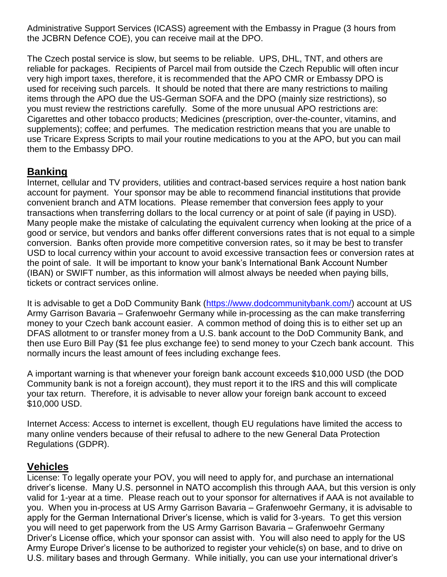Administrative Support Services (ICASS) agreement with the Embassy in Prague (3 hours from the JCBRN Defence COE), you can receive mail at the DPO.

The Czech postal service is slow, but seems to be reliable. UPS, DHL, TNT, and others are reliable for packages. Recipients of Parcel mail from outside the Czech Republic will often incur very high import taxes, therefore, it is recommended that the APO CMR or Embassy DPO is used for receiving such parcels. It should be noted that there are many restrictions to mailing items through the APO due the US-German SOFA and the DPO (mainly size restrictions), so you must review the restrictions carefully. Some of the more unusual APO restrictions are: Cigarettes and other tobacco products; Medicines (prescription, over-the-counter, vitamins, and supplements); coffee; and perfumes. The medication restriction means that you are unable to use Tricare Express Scripts to mail your routine medications to you at the APO, but you can mail them to the Embassy DPO.

## **Banking**

Internet, cellular and TV providers, utilities and contract-based services require a host nation bank account for payment. Your sponsor may be able to recommend financial institutions that provide convenient branch and ATM locations. Please remember that conversion fees apply to your transactions when transferring dollars to the local currency or at point of sale (if paying in USD). Many people make the mistake of calculating the equivalent currency when looking at the price of a good or service, but vendors and banks offer different conversions rates that is not equal to a simple conversion. Banks often provide more competitive conversion rates, so it may be best to transfer USD to local currency within your account to avoid excessive transaction fees or conversion rates at the point of sale. It will be important to know your bank's International Bank Account Number (IBAN) or SWIFT number, as this information will almost always be needed when paying bills, tickets or contract services online.

It is advisable to get a DoD Community Bank [\(https://www.dodcommunitybank.com/\)](https://www.dodcommunitybank.com/) account at US Army Garrison Bavaria – Grafenwoehr Germany while in-processing as the can make transferring money to your Czech bank account easier. A common method of doing this is to either set up an DFAS allotment to or transfer money from a U.S. bank account to the DoD Community Bank, and then use Euro Bill Pay (\$1 fee plus exchange fee) to send money to your Czech bank account. This normally incurs the least amount of fees including exchange fees.

A important warning is that whenever your foreign bank account exceeds \$10,000 USD (the DOD Community bank is not a foreign account), they must report it to the IRS and this will complicate your tax return. Therefore, it is advisable to never allow your foreign bank account to exceed \$10,000 USD.

Internet Access: Access to internet is excellent, though EU regulations have limited the access to many online venders because of their refusal to adhere to the new General Data Protection Regulations (GDPR).

## **Vehicles**

License: To legally operate your POV, you will need to apply for, and purchase an international driver's license. Many U.S. personnel in NATO accomplish this through AAA, but this version is only valid for 1-year at a time. Please reach out to your sponsor for alternatives if AAA is not available to you. When you in-process at US Army Garrison Bavaria – Grafenwoehr Germany, it is advisable to apply for the German International Driver's license, which is valid for 3-years. To get this version you will need to get paperwork from the US Army Garrison Bavaria – Grafenwoehr Germany Driver's License office, which your sponsor can assist with. You will also need to apply for the US Army Europe Driver's license to be authorized to register your vehicle(s) on base, and to drive on U.S. military bases and through Germany. While initially, you can use your international driver's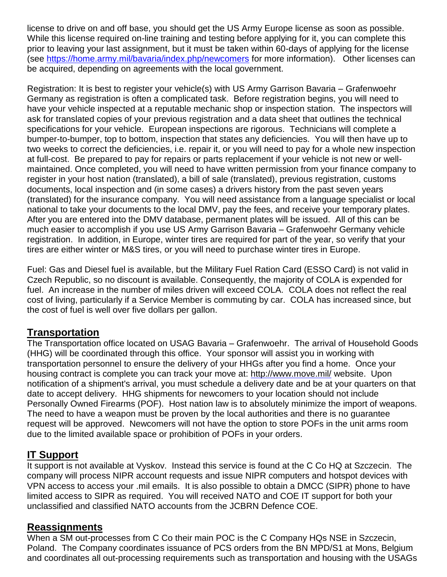license to drive on and off base, you should get the US Army Europe license as soon as possible. While this license required on-line training and testing before applying for it, you can complete this prior to leaving your last assignment, but it must be taken within 60-days of applying for the license (see<https://home.army.mil/bavaria/index.php/newcomers> for more information). Other licenses can be acquired, depending on agreements with the local government.

Registration: It is best to register your vehicle(s) with US Army Garrison Bavaria – Grafenwoehr Germany as registration is often a complicated task. Before registration begins, you will need to have your vehicle inspected at a reputable mechanic shop or inspection station. The inspectors will ask for translated copies of your previous registration and a data sheet that outlines the technical specifications for your vehicle. European inspections are rigorous. Technicians will complete a bumper-to-bumper, top to bottom, inspection that states any deficiencies. You will then have up to two weeks to correct the deficiencies, i.e. repair it, or you will need to pay for a whole new inspection at full-cost. Be prepared to pay for repairs or parts replacement if your vehicle is not new or wellmaintained. Once completed, you will need to have written permission from your finance company to register in your host nation (translated), a bill of sale (translated), previous registration, customs documents, local inspection and (in some cases) a drivers history from the past seven years (translated) for the insurance company. You will need assistance from a language specialist or local national to take your documents to the local DMV, pay the fees, and receive your temporary plates. After you are entered into the DMV database, permanent plates will be issued. All of this can be much easier to accomplish if you use US Army Garrison Bavaria – Grafenwoehr Germany vehicle registration. In addition, in Europe, winter tires are required for part of the year, so verify that your tires are either winter or M&S tires, or you will need to purchase winter tires in Europe.

Fuel: Gas and Diesel fuel is available, but the Military Fuel Ration Card (ESSO Card) is not valid in Czech Republic, so no discount is available. Consequently, the majority of COLA is expended for fuel. An increase in the number of miles driven will exceed COLA. COLA does not reflect the real cost of living, particularly if a Service Member is commuting by car. COLA has increased since, but the cost of fuel is well over five dollars per gallon.

## **Transportation**

The Transportation office located on USAG Bavaria – Grafenwoehr. The arrival of Household Goods (HHG) will be coordinated through this office. Your sponsor will assist you in working with transportation personnel to ensure the delivery of your HHGs after you find a home. Once your housing contract is complete you can track your move at:<http://www.move.mil/> website. Upon notification of a shipment's arrival, you must schedule a delivery date and be at your quarters on that date to accept delivery. HHG shipments for newcomers to your location should not include Personally Owned Firearms (POF). Host nation law is to absolutely minimize the import of weapons. The need to have a weapon must be proven by the local authorities and there is no guarantee request will be approved. Newcomers will not have the option to store POFs in the unit arms room due to the limited available space or prohibition of POFs in your orders.

## **IT Support**

It support is not available at Vyskov. Instead this service is found at the C Co HQ at Szczecin. The company will process NIPR account requests and issue NIPR computers and hotspot devices with VPN access to access your .mil emails. It is also possible to obtain a DMCC (SIPR) phone to have limited access to SIPR as required. You will received NATO and COE IT support for both your unclassified and classified NATO accounts from the JCBRN Defence COE.

## **Reassignments**

When a SM out-processes from C Co their main POC is the C Company HQs NSE in Szczecin, Poland. The Company coordinates issuance of PCS orders from the BN MPD/S1 at Mons, Belgium and coordinates all out-processing requirements such as transportation and housing with the USAGs